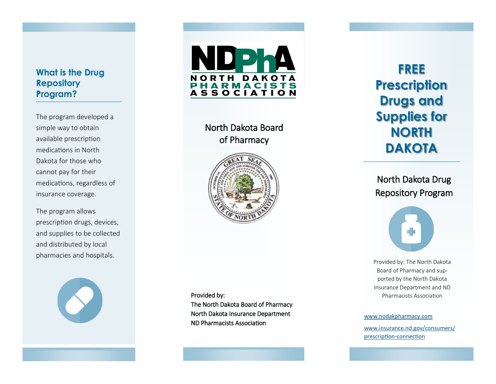## **What is the Drug Repository Program?**

The program developed a simple way to obtain available prescription medications in North Dakota for those who cannot pay for their medications, regardless of insurance coverage.

The program allows prescription drugs, devices, and supplies to be collected and distributed by local pharmacies and hospitals.





North Dakota Board of Pharmacy



Provided by: The North Dakota Board of Pharmacy North Dakota Insurance Department ND Pharmacists Association

**FREE Prescription Drugs and Supplies for NORTH DAKOTA**

North Dakota Drug Repository Program



Provided by: The North Dakota Board of Pharmacy and supported by the North Dakota Insurance Department and ND Pharmacists Association

[www.nodakpharmacy.com](https://www.nodakpharmacy.com/)

[www.insurance.nd.gov/consumers/](https://www.insurance.nd.gov/consumers/prescription-connection) [prescription](https://www.insurance.nd.gov/consumers/prescription-connection) -connection